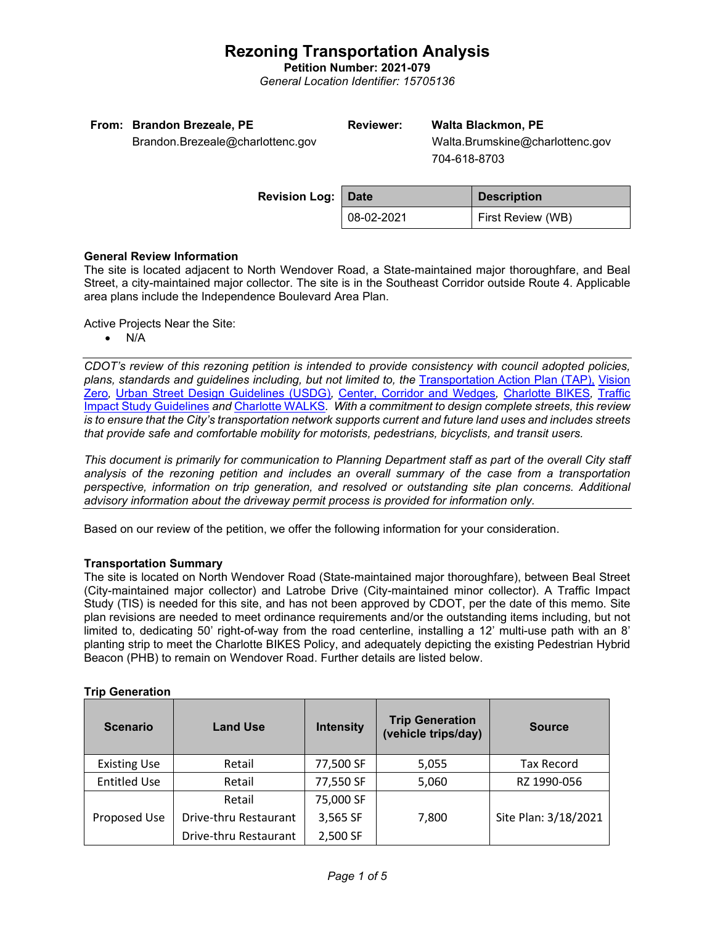## **Rezoning Transportation Analysis**

**Petition Number: 2021-079**

*General Location Identifier: 15705136*

| From: Brandon Brezeale, PE       | <b>Reviewer:</b> | <b>Walta Blackmon, PE</b>       |
|----------------------------------|------------------|---------------------------------|
| Brandon.Brezeale@charlottenc.gov |                  | Walta.Brumskine@charlottenc.gov |
|                                  |                  | 704-618-8703                    |
|                                  |                  |                                 |

| <b>Revision Log: Date</b> |            | <b>Description</b>       |  |
|---------------------------|------------|--------------------------|--|
|                           | 08-02-2021 | <b>First Review (WB)</b> |  |

### **General Review Information**

The site is located adjacent to North Wendover Road, a State-maintained major thoroughfare, and Beal Street, a city-maintained major collector. The site is in the Southeast Corridor outside Route 4. Applicable area plans include the Independence Boulevard Area Plan.

Active Projects Near the Site:

• N/A

*CDOT's review of this rezoning petition is intended to provide consistency with council adopted policies, plans, standards and guidelines including, but not limited to, the* [Transportation Action Plan \(TAP\),](https://charlottenc.gov/Transportation/Programs/Pages/TransportationActionPlan.aspx) [Vision](https://charlottenc.gov/VisionZero/Pages/VisionZero.aspx)  [Zero](https://charlottenc.gov/VisionZero/Pages/VisionZero.aspx)*,* [Urban Street Design Guidelines \(USDG\)](https://charlottenc.gov/Transportation/PlansProjects/Documents/USDG%20Full%20Document.pdf)*,* [Center, Corridor and Wedges](http://ww.charmeck.org/Planning/Land%20Use%20Planning/CentersCorridorsWedges/CentersCorridorsWedges(Adopted).pdf)*,* [Charlotte BIKES](https://charlottenc.gov/Transportation/Programs/Pages/Bicycle.aspx)*,* [Traffic](https://charlottenc.gov/Transportation/Permits/Documents/TISProcessandGuildlines.pdf)  [Impact Study Guidelines](https://charlottenc.gov/Transportation/Permits/Documents/TISProcessandGuildlines.pdf) *and* [Charlotte WALKS](https://charlottenc.gov/Transportation/Programs/Pages/CharlotteWalks.aspx)*. With a commitment to design complete streets, this review is to ensure that the City's transportation network supports current and future land uses and includes streets that provide safe and comfortable mobility for motorists, pedestrians, bicyclists, and transit users.*

*This document is primarily for communication to Planning Department staff as part of the overall City staff analysis of the rezoning petition and includes an overall summary of the case from a transportation perspective, information on trip generation, and resolved or outstanding site plan concerns. Additional advisory information about the driveway permit process is provided for information only.*

Based on our review of the petition, we offer the following information for your consideration.

### **Transportation Summary**

The site is located on North Wendover Road (State-maintained major thoroughfare), between Beal Street (City-maintained major collector) and Latrobe Drive (City-maintained minor collector). A Traffic Impact Study (TIS) is needed for this site, and has not been approved by CDOT, per the date of this memo. Site plan revisions are needed to meet ordinance requirements and/or the outstanding items including, but not limited to, dedicating 50' right-of-way from the road centerline, installing a 12' multi-use path with an 8' planting strip to meet the Charlotte BIKES Policy, and adequately depicting the existing Pedestrian Hybrid Beacon (PHB) to remain on Wendover Road. Further details are listed below.

| <b>Scenario</b>     | <b>Land Use</b>       | <b>Intensity</b> | <b>Trip Generation</b><br>(vehicle trips/day) | <b>Source</b>        |
|---------------------|-----------------------|------------------|-----------------------------------------------|----------------------|
| <b>Existing Use</b> | Retail                | 77,500 SF        | 5,055                                         | <b>Tax Record</b>    |
| <b>Entitled Use</b> | Retail                | 77,550 SF        | 5,060                                         | RZ 1990-056          |
|                     | Retail                | 75,000 SF        |                                               |                      |
| Proposed Use        | Drive-thru Restaurant | 3,565 SF         | 7,800                                         | Site Plan: 3/18/2021 |
|                     | Drive-thru Restaurant | 2,500 SF         |                                               |                      |

### **Trip Generation**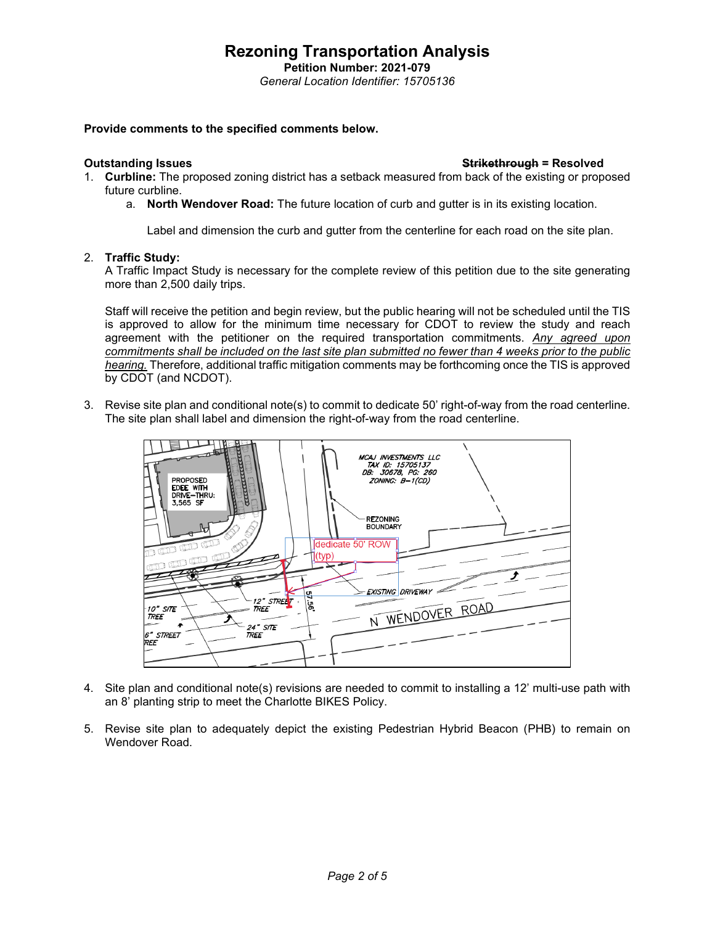## **Rezoning Transportation Analysis**

**Petition Number: 2021-079** *General Location Identifier: 15705136*

### **Provide comments to the specified comments below.**

### **Outstanding Issues Strikethrough = Resolved**

- 1. **Curbline:** The proposed zoning district has a setback measured from back of the existing or proposed future curbline.
	- a. **North Wendover Road:** The future location of curb and gutter is in its existing location.

Label and dimension the curb and gutter from the centerline for each road on the site plan.

### 2. **Traffic Study:**

A Traffic Impact Study is necessary for the complete review of this petition due to the site generating more than 2,500 daily trips.

Staff will receive the petition and begin review, but the public hearing will not be scheduled until the TIS is approved to allow for the minimum time necessary for CDOT to review the study and reach agreement with the petitioner on the required transportation commitments. *Any agreed upon commitments shall be included on the last site plan submitted no fewer than 4 weeks prior to the public hearing.* Therefore, additional traffic mitigation comments may be forthcoming once the TIS is approved by CDOT (and NCDOT).

3. Revise site plan and conditional note(s) to commit to dedicate 50' right-of-way from the road centerline. The site plan shall label and dimension the right-of-way from the road centerline.



- 4. Site plan and conditional note(s) revisions are needed to commit to installing a 12' multi-use path with an 8' planting strip to meet the Charlotte BIKES Policy.
- 5. Revise site plan to adequately depict the existing Pedestrian Hybrid Beacon (PHB) to remain on Wendover Road.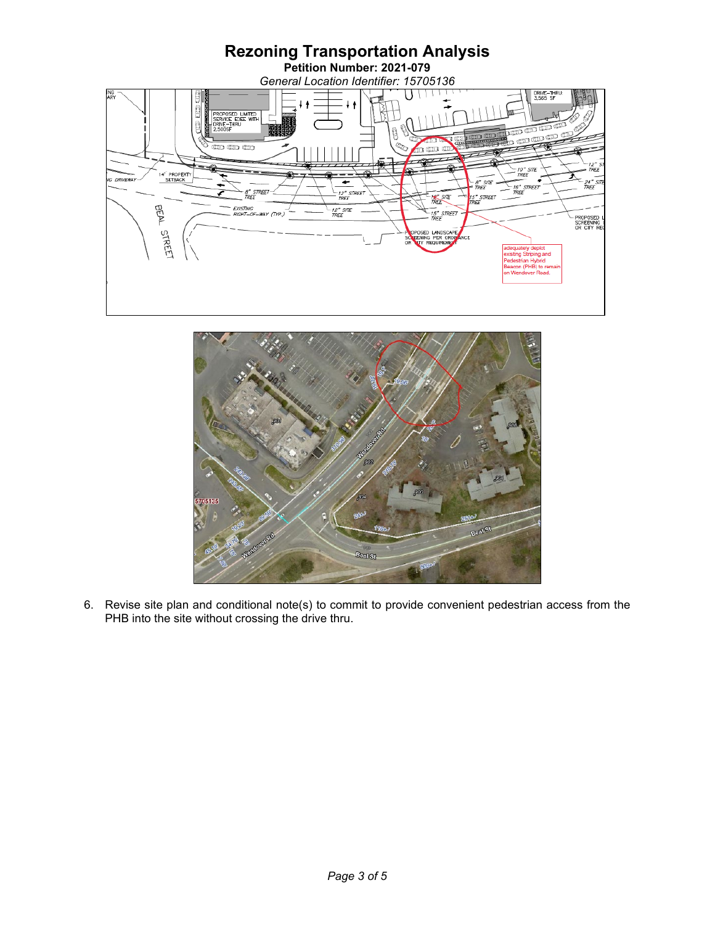



6. Revise site plan and conditional note(s) to commit to provide convenient pedestrian access from the PHB into the site without crossing the drive thru.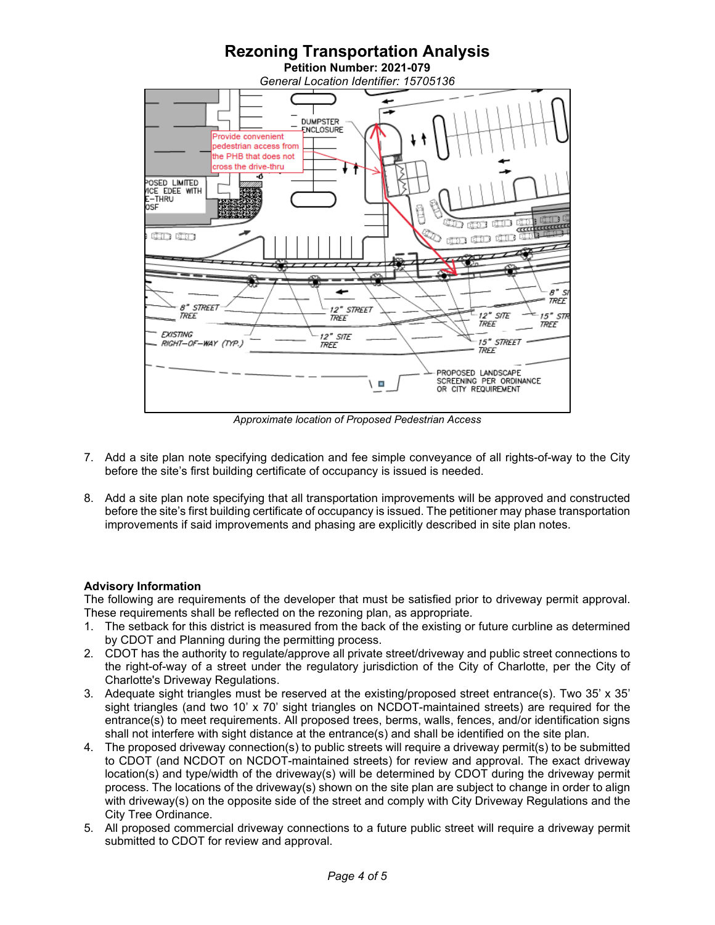

*Approximate location of Proposed Pedestrian Access*

- 7. Add a site plan note specifying dedication and fee simple conveyance of all rights-of-way to the City before the site's first building certificate of occupancy is issued is needed.
- 8. Add a site plan note specifying that all transportation improvements will be approved and constructed before the site's first building certificate of occupancy is issued. The petitioner may phase transportation improvements if said improvements and phasing are explicitly described in site plan notes.

### **Advisory Information**

The following are requirements of the developer that must be satisfied prior to driveway permit approval. These requirements shall be reflected on the rezoning plan, as appropriate.

- 1. The setback for this district is measured from the back of the existing or future curbline as determined by CDOT and Planning during the permitting process.
- 2. CDOT has the authority to regulate/approve all private street/driveway and public street connections to the right-of-way of a street under the regulatory jurisdiction of the City of Charlotte, per the City of Charlotte's Driveway Regulations.
- 3. Adequate sight triangles must be reserved at the existing/proposed street entrance(s). Two 35' x 35' sight triangles (and two 10' x 70' sight triangles on NCDOT-maintained streets) are required for the entrance(s) to meet requirements. All proposed trees, berms, walls, fences, and/or identification signs shall not interfere with sight distance at the entrance(s) and shall be identified on the site plan.
- 4. The proposed driveway connection(s) to public streets will require a driveway permit(s) to be submitted to CDOT (and NCDOT on NCDOT-maintained streets) for review and approval. The exact driveway location(s) and type/width of the driveway(s) will be determined by CDOT during the driveway permit process. The locations of the driveway(s) shown on the site plan are subject to change in order to align with driveway(s) on the opposite side of the street and comply with City Driveway Regulations and the City Tree Ordinance.
- 5. All proposed commercial driveway connections to a future public street will require a driveway permit submitted to CDOT for review and approval.